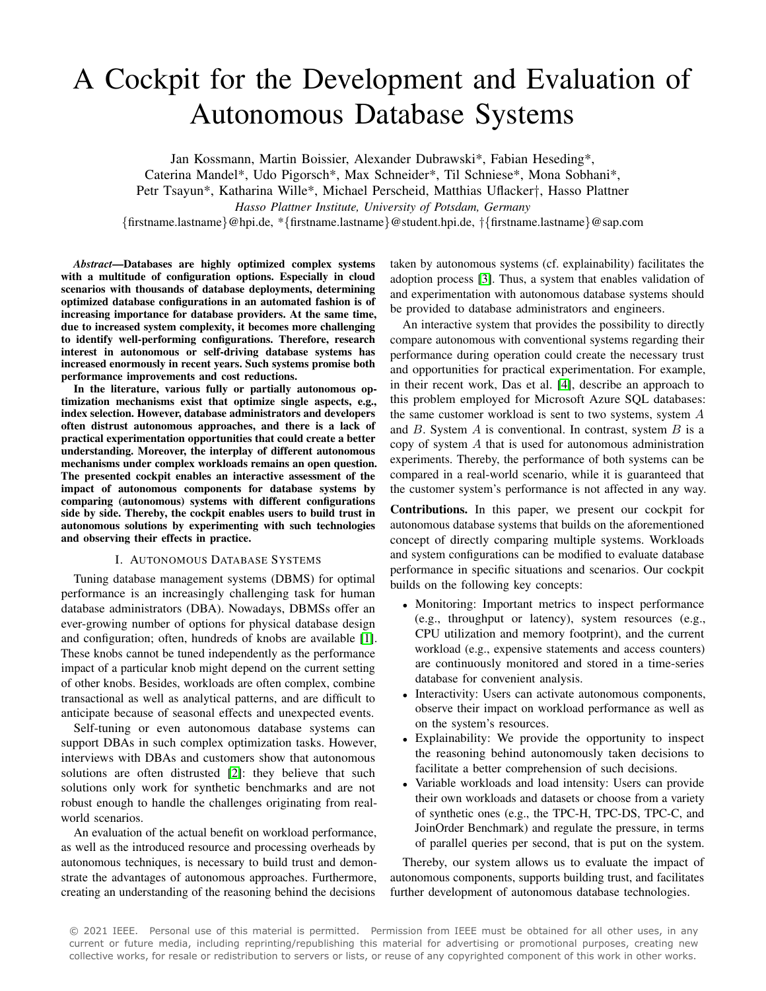# A Cockpit for the Development and Evaluation of Autonomous Database Systems

Jan Kossmann, Martin Boissier, Alexander Dubrawski\*, Fabian Heseding\*,

Caterina Mandel\*, Udo Pigorsch\*, Max Schneider\*, Til Schniese\*, Mona Sobhani\*,

Petr Tsayun\*, Katharina Wille\*, Michael Perscheid, Matthias Uflacker†, Hasso Plattner

*Hasso Plattner Institute, University of Potsdam, Germany*

{firstname.lastname}@hpi.de, \*{firstname.lastname}@student.hpi.de, †{firstname.lastname}@sap.com

*Abstract*—Databases are highly optimized complex systems with a multitude of configuration options. Especially in cloud scenarios with thousands of database deployments, determining optimized database configurations in an automated fashion is of increasing importance for database providers. At the same time, due to increased system complexity, it becomes more challenging to identify well-performing configurations. Therefore, research interest in autonomous or self-driving database systems has increased enormously in recent years. Such systems promise both performance improvements and cost reductions.

In the literature, various fully or partially autonomous optimization mechanisms exist that optimize single aspects, e.g., index selection. However, database administrators and developers often distrust autonomous approaches, and there is a lack of practical experimentation opportunities that could create a better understanding. Moreover, the interplay of different autonomous mechanisms under complex workloads remains an open question. The presented cockpit enables an interactive assessment of the impact of autonomous components for database systems by comparing (autonomous) systems with different configurations side by side. Thereby, the cockpit enables users to build trust in autonomous solutions by experimenting with such technologies and observing their effects in practice.

#### I. AUTONOMOUS DATABASE SYSTEMS

Tuning database management systems (DBMS) for optimal performance is an increasingly challenging task for human database administrators (DBA). Nowadays, DBMSs offer an ever-growing number of options for physical database design and configuration; often, hundreds of knobs are available [\[1\]](#page-3-0). These knobs cannot be tuned independently as the performance impact of a particular knob might depend on the current setting of other knobs. Besides, workloads are often complex, combine transactional as well as analytical patterns, and are difficult to anticipate because of seasonal effects and unexpected events.

Self-tuning or even autonomous database systems can support DBAs in such complex optimization tasks. However, interviews with DBAs and customers show that autonomous solutions are often distrusted [\[2\]](#page-3-1): they believe that such solutions only work for synthetic benchmarks and are not robust enough to handle the challenges originating from realworld scenarios.

An evaluation of the actual benefit on workload performance, as well as the introduced resource and processing overheads by autonomous techniques, is necessary to build trust and demonstrate the advantages of autonomous approaches. Furthermore, creating an understanding of the reasoning behind the decisions

taken by autonomous systems (cf. explainability) facilitates the adoption process [\[3\]](#page-3-2). Thus, a system that enables validation of and experimentation with autonomous database systems should be provided to database administrators and engineers.

An interactive system that provides the possibility to directly compare autonomous with conventional systems regarding their performance during operation could create the necessary trust and opportunities for practical experimentation. For example, in their recent work, Das et al. [\[4\]](#page-3-3), describe an approach to this problem employed for Microsoft Azure SQL databases: the same customer workload is sent to two systems, system A and  $B$ . System  $A$  is conventional. In contrast, system  $B$  is a copy of system  $A$  that is used for autonomous administration experiments. Thereby, the performance of both systems can be compared in a real-world scenario, while it is guaranteed that the customer system's performance is not affected in any way.

Contributions. In this paper, we present our cockpit for autonomous database systems that builds on the aforementioned concept of directly comparing multiple systems. Workloads and system configurations can be modified to evaluate database performance in specific situations and scenarios. Our cockpit builds on the following key concepts:

- Monitoring: Important metrics to inspect performance (e.g., throughput or latency), system resources (e.g., CPU utilization and memory footprint), and the current workload (e.g., expensive statements and access counters) are continuously monitored and stored in a time-series database for convenient analysis.
- Interactivity: Users can activate autonomous components, observe their impact on workload performance as well as on the system's resources.
- Explainability: We provide the opportunity to inspect the reasoning behind autonomously taken decisions to facilitate a better comprehension of such decisions.
- Variable workloads and load intensity: Users can provide their own workloads and datasets or choose from a variety of synthetic ones (e.g., the TPC-H, TPC-DS, TPC-C, and JoinOrder Benchmark) and regulate the pressure, in terms of parallel queries per second, that is put on the system.

Thereby, our system allows us to evaluate the impact of autonomous components, supports building trust, and facilitates further development of autonomous database technologies.

© 2021 IEEE. Personal use of this material is permitted. Permission from IEEE must be obtained for all other uses, in any current or future media, including reprinting/republishing this material for advertising or promotional purposes, creating new collective works, for resale or redistribution to servers or lists, or reuse of any copyrighted component of this work in other works.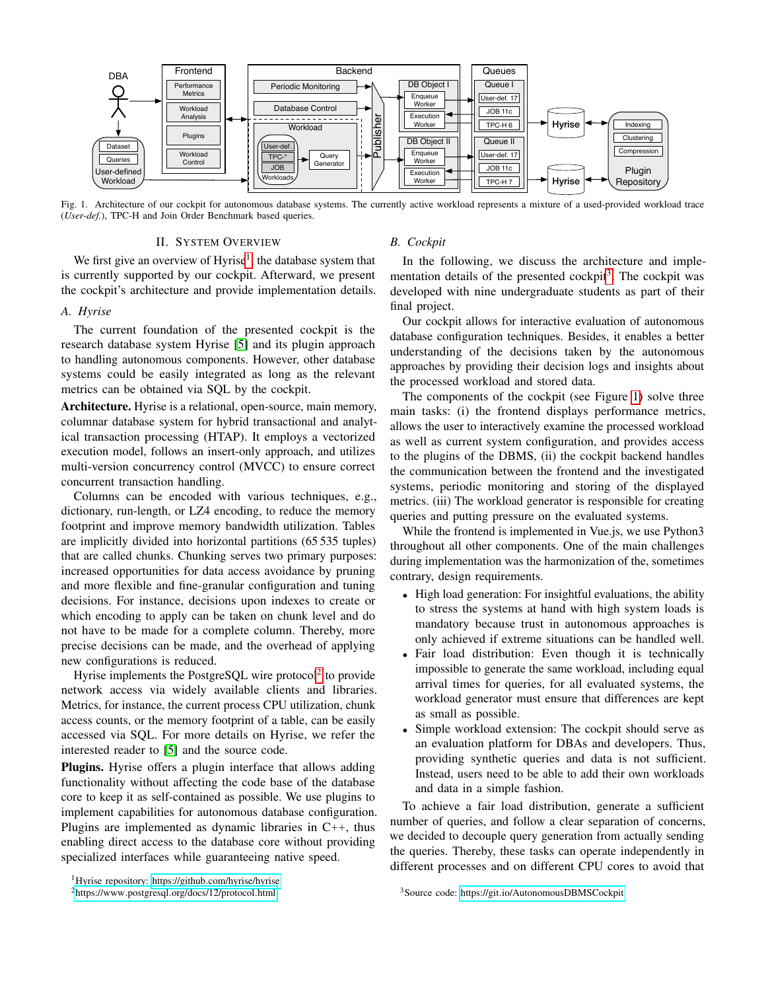

<span id="page-1-3"></span>Fig. 1. Architecture of our cockpit for autonomous database systems. The currently active workload represents a mixture of a used-provided workload trace (*User-def.*), TPC-H and Join Order Benchmark based queries.

# II. SYSTEM OVERVIEW

We first give an overview of  $Hyrise<sup>1</sup>$  $Hyrise<sup>1</sup>$  $Hyrise<sup>1</sup>$ , the database system that is currently supported by our cockpit. Afterward, we present the cockpit's architecture and provide implementation details.

## <span id="page-1-4"></span>*A. Hyrise*

The current foundation of the presented cockpit is the research database system Hyrise [\[5\]](#page-3-4) and its plugin approach to handling autonomous components. However, other database systems could be easily integrated as long as the relevant metrics can be obtained via SQL by the cockpit.

Architecture. Hyrise is a relational, open-source, main memory, columnar database system for hybrid transactional and analytical transaction processing (HTAP). It employs a vectorized execution model, follows an insert-only approach, and utilizes multi-version concurrency control (MVCC) to ensure correct concurrent transaction handling.

Columns can be encoded with various techniques, e.g., dictionary, run-length, or LZ4 encoding, to reduce the memory footprint and improve memory bandwidth utilization. Tables are implicitly divided into horizontal partitions (65 535 tuples) that are called chunks. Chunking serves two primary purposes: increased opportunities for data access avoidance by pruning and more flexible and fine-granular configuration and tuning decisions. For instance, decisions upon indexes to create or which encoding to apply can be taken on chunk level and do not have to be made for a complete column. Thereby, more precise decisions can be made, and the overhead of applying new configurations is reduced.

Hyrise implements the PostgreSQL wire protocol<sup>[2](#page-1-1)</sup> to provide network access via widely available clients and libraries. Metrics, for instance, the current process CPU utilization, chunk access counts, or the memory footprint of a table, can be easily accessed via SQL. For more details on Hyrise, we refer the interested reader to [\[5\]](#page-3-4) and the source code.

Plugins. Hyrise offers a plugin interface that allows adding functionality without affecting the code base of the database core to keep it as self-contained as possible. We use plugins to implement capabilities for autonomous database configuration. Plugins are implemented as dynamic libraries in C++, thus enabling direct access to the database core without providing specialized interfaces while guaranteeing native speed.

<span id="page-1-0"></span><sup>1</sup>Hyrise repository: https://github.[com/hyrise/hyrise](https://github.com/hyrise/hyrise)

## *B. Cockpit*

In the following, we discuss the architecture and imple-mentation details of the presented cockpit<sup>[3](#page-1-2)</sup>. The cockpit was developed with nine undergraduate students as part of their final project.

Our cockpit allows for interactive evaluation of autonomous database configuration techniques. Besides, it enables a better understanding of the decisions taken by the autonomous approaches by providing their decision logs and insights about the processed workload and stored data.

The components of the cockpit (see Figure [1\)](#page-1-3) solve three main tasks: (i) the frontend displays performance metrics, allows the user to interactively examine the processed workload as well as current system configuration, and provides access to the plugins of the DBMS, (ii) the cockpit backend handles the communication between the frontend and the investigated systems, periodic monitoring and storing of the displayed metrics. (iii) The workload generator is responsible for creating queries and putting pressure on the evaluated systems.

While the frontend is implemented in Vue.js, we use Python3 throughout all other components. One of the main challenges during implementation was the harmonization of the, sometimes contrary, design requirements.

- High load generation: For insightful evaluations, the ability to stress the systems at hand with high system loads is mandatory because trust in autonomous approaches is only achieved if extreme situations can be handled well.
- Fair load distribution: Even though it is technically impossible to generate the same workload, including equal arrival times for queries, for all evaluated systems, the workload generator must ensure that differences are kept as small as possible.
- Simple workload extension: The cockpit should serve as an evaluation platform for DBAs and developers. Thus, providing synthetic queries and data is not sufficient. Instead, users need to be able to add their own workloads and data in a simple fashion.

To achieve a fair load distribution, generate a sufficient number of queries, and follow a clear separation of concerns, we decided to decouple query generation from actually sending the queries. Thereby, these tasks can operate independently in different processes and on different CPU cores to avoid that

<span id="page-1-1"></span><sup>2</sup>https://www.postgresql.[org/docs/12/protocol](https://www.postgresql.org/docs/12/protocol.html).html

<span id="page-1-2"></span><sup>3</sup>Source code: https://git.[io/AutonomousDBMSCockpit](https://git.io/AutonomousDBMSCockpit)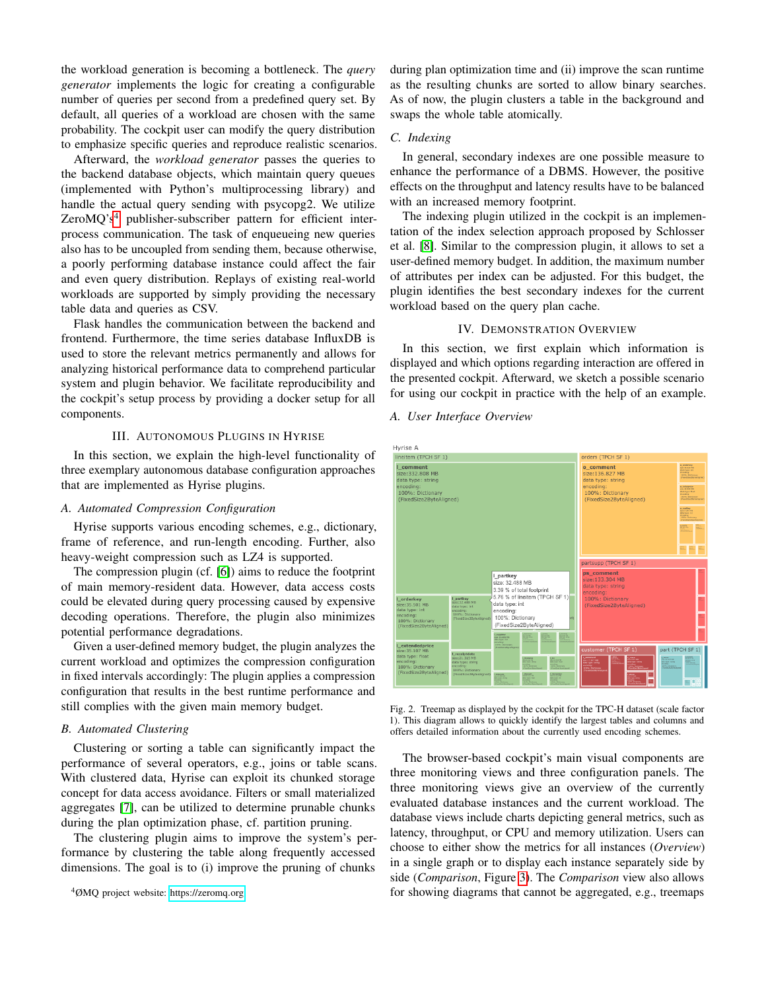the workload generation is becoming a bottleneck. The *query generator* implements the logic for creating a configurable number of queries per second from a predefined query set. By default, all queries of a workload are chosen with the same probability. The cockpit user can modify the query distribution to emphasize specific queries and reproduce realistic scenarios.

Afterward, the *workload generator* passes the queries to the backend database objects, which maintain query queues (implemented with Python's multiprocessing library) and handle the actual query sending with psycopg2. We utilize ZeroMQ's<sup>[4](#page-2-0)</sup> publisher-subscriber pattern for efficient interprocess communication. The task of enqueueing new queries also has to be uncoupled from sending them, because otherwise, a poorly performing database instance could affect the fair and even query distribution. Replays of existing real-world workloads are supported by simply providing the necessary table data and queries as CSV.

Flask handles the communication between the backend and frontend. Furthermore, the time series database InfluxDB is used to store the relevant metrics permanently and allows for analyzing historical performance data to comprehend particular system and plugin behavior. We facilitate reproducibility and the cockpit's setup process by providing a docker setup for all components.

## III. AUTONOMOUS PLUGINS IN HYRISE

In this section, we explain the high-level functionality of three exemplary autonomous database configuration approaches that are implemented as Hyrise plugins.

## *A. Automated Compression Configuration*

Hyrise supports various encoding schemes, e.g., dictionary, frame of reference, and run-length encoding. Further, also heavy-weight compression such as LZ4 is supported.

The compression plugin (cf. [\[6\]](#page-3-5)) aims to reduce the footprint of main memory-resident data. However, data access costs could be elevated during query processing caused by expensive decoding operations. Therefore, the plugin also minimizes potential performance degradations.

Given a user-defined memory budget, the plugin analyzes the current workload and optimizes the compression configuration in fixed intervals accordingly: The plugin applies a compression configuration that results in the best runtime performance and still complies with the given main memory budget.

## *B. Automated Clustering*

Clustering or sorting a table can significantly impact the performance of several operators, e.g., joins or table scans. With clustered data, Hyrise can exploit its chunked storage concept for data access avoidance. Filters or small materialized aggregates [\[7\]](#page-3-6), can be utilized to determine prunable chunks during the plan optimization phase, cf. partition pruning.

The clustering plugin aims to improve the system's performance by clustering the table along frequently accessed dimensions. The goal is to (i) improve the pruning of chunks

<span id="page-2-0"></span><sup>4</sup>ØMQ project website: [https://zeromq](https://zeromq.org).org

during plan optimization time and (ii) improve the scan runtime as the resulting chunks are sorted to allow binary searches. As of now, the plugin clusters a table in the background and swaps the whole table atomically.

## *C. Indexing*

In general, secondary indexes are one possible measure to enhance the performance of a DBMS. However, the positive effects on the throughput and latency results have to be balanced with an increased memory footprint.

The indexing plugin utilized in the cockpit is an implementation of the index selection approach proposed by Schlosser et al. [\[8\]](#page-3-7). Similar to the compression plugin, it allows to set a user-defined memory budget. In addition, the maximum number of attributes per index can be adjusted. For this budget, the plugin identifies the best secondary indexes for the current workload based on the query plan cache.

## IV. DEMONSTRATION OVERVIEW

In this section, we first explain which information is displayed and which options regarding interaction are offered in the presented cockpit. Afterward, we sketch a possible scenario for using our cockpit in practice with the help of an example.

## *A. User Interface Overview*



<span id="page-2-1"></span>Fig. 2. Treemap as displayed by the cockpit for the TPC-H dataset (scale factor 1). This diagram allows to quickly identify the largest tables and columns and offers detailed information about the currently used encoding schemes.

The browser-based cockpit's main visual components are three monitoring views and three configuration panels. The three monitoring views give an overview of the currently evaluated database instances and the current workload. The database views include charts depicting general metrics, such as latency, throughput, or CPU and memory utilization. Users can choose to either show the metrics for all instances (*Overview*) in a single graph or to display each instance separately side by side (*Comparison*, Figure [3\)](#page-3-8). The *Comparison* view also allows for showing diagrams that cannot be aggregated, e.g., treemaps